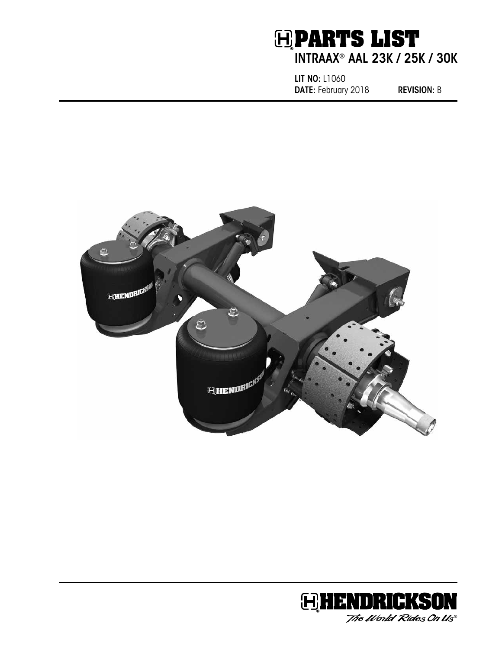## **H** PARTS LIST INTRAAX® AAL 23K / 25K / 30K

LIT NO: L1060 DATE: February 2018 REVISION: B



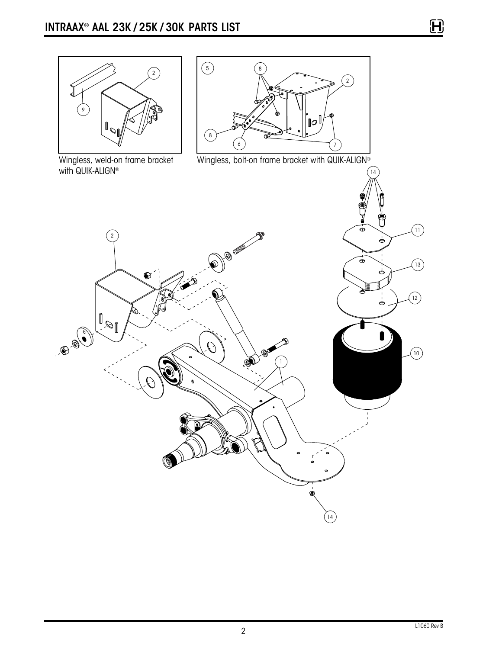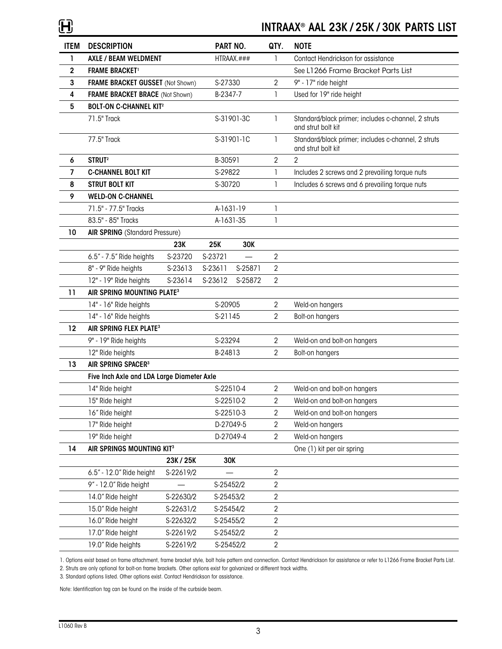## INTRAAX® AAL 23K / 25K / 30K PARTS LIST

| <b>ITEM</b> | <b>DESCRIPTION</b>                         |           | PART NO.   |            | QTY.           | <b>NOTE</b>                                                               |
|-------------|--------------------------------------------|-----------|------------|------------|----------------|---------------------------------------------------------------------------|
| 1           | AXLE / BEAM WELDMENT                       |           | HTRAAX.### |            | $\mathbf{1}$   | Contact Hendrickson for assistance                                        |
| 2           | <b>FRAME BRACKET</b> <sup>1</sup>          |           |            |            |                | See L1266 Frame Bracket Parts List                                        |
| 3           | FRAME BRACKET GUSSET (Not Shown)           |           | S-27330    |            | $\overline{2}$ | 9" - 17" ride height                                                      |
| 4           | FRAME BRACKET BRACE (Not Shown)            |           | B-2347-7   |            | 1              | Used for 19" ride height                                                  |
| 5           | <b>BOLT-ON C-CHANNEL KIT<sup>2</sup></b>   |           |            |            |                |                                                                           |
|             | 71.5" Track                                |           |            | S-31901-3C | 1              | Standard/black primer; includes c-channel, 2 struts<br>and strut bolt kit |
|             | 77.5" Track                                |           | S-31901-1C |            | 1              | Standard/black primer; includes c-channel, 2 struts<br>and strut bolt kit |
| 6           | STRUT <sup>2</sup>                         |           | B-30591    |            | $\mathbf{2}$   | $\overline{2}$                                                            |
| 7           | <b>C-CHANNEL BOLT KIT</b>                  |           | S-29822    |            | 1              | Includes 2 screws and 2 prevailing torque nuts                            |
| 8           | <b>STRUT BOLT KIT</b>                      |           | S-30720    |            | 1              | Includes 6 screws and 6 prevailing torque nuts                            |
| 9           | <b>WELD-ON C-CHANNEL</b>                   |           |            |            |                |                                                                           |
|             | 71.5" - 77.5" Tracks                       |           | A-1631-19  |            | 1              |                                                                           |
|             | 83.5" - 85" Tracks                         |           | A-1631-35  |            | 1              |                                                                           |
| 10          | <b>AIR SPRING</b> (Standard Pressure)      |           |            |            |                |                                                                           |
|             |                                            | 23K       | <b>25K</b> | 30K        |                |                                                                           |
|             | 6.5" - 7.5" Ride heights                   | S-23720   | S-23721    |            | $\overline{2}$ |                                                                           |
|             | 8" - 9" Ride heights                       | S-23613   | S-23611    | S-25871    | $\overline{2}$ |                                                                           |
|             | 12" - 19" Ride heights                     | S-23614   | S-23612    | S-25872    | $\overline{2}$ |                                                                           |
| 11          | AIR SPRING MOUNTING PLATE <sup>3</sup>     |           |            |            |                |                                                                           |
|             | 14" - 16" Ride heights                     |           | S-20905    |            | $\overline{2}$ | Weld-on hangers                                                           |
|             | 14" - 16" Ride heights                     |           | S-21145    |            | $\overline{2}$ | Bolt-on hangers                                                           |
| 12          | AIR SPRING FLEX PLATE <sup>3</sup>         |           |            |            |                |                                                                           |
|             | 9" - 19" Ride heights                      |           |            | S-23294    |                | Weld-on and bolt-on hangers                                               |
|             | 12" Ride heights                           |           |            | B-24813    |                | Bolt-on hangers                                                           |
| 13          | AIR SPRING SPACER <sup>3</sup>             |           |            |            |                |                                                                           |
|             | Five Inch Axle and LDA Large Diameter Axle |           |            |            |                |                                                                           |
|             | 14" Ride height                            |           | S-22510-4  |            | $\overline{2}$ | Weld-on and bolt-on hangers                                               |
|             | 15" Ride height                            |           | S-22510-2  |            | $\overline{2}$ | Weld-on and bolt-on hangers                                               |
|             | 16" Ride height                            |           | S-22510-3  |            | $\overline{2}$ | Weld-on and bolt-on hangers                                               |
|             | 17" Ride height                            |           | D-27049-5  |            | $\overline{2}$ | Weld-on hangers                                                           |
|             | 19" Ride height                            |           | D-27049-4  |            | $\overline{2}$ | Weld-on hangers                                                           |
| 14          | AIR SPRINGS MOUNTING KIT <sup>3</sup>      |           |            |            |                | One (1) kit per air spring                                                |
|             |                                            | 23K / 25K | 30K        |            |                |                                                                           |
|             | 6.5" - 12.0" Ride height                   | S-22619/2 |            |            | $\overline{2}$ |                                                                           |
|             | 9" - 12.0" Ride height                     |           | S-25452/2  |            | 2              |                                                                           |
|             | 14.0" Ride height                          | S-22630/2 | S-25453/2  |            | $\overline{2}$ |                                                                           |
|             | 15.0" Ride height                          | S-22631/2 | S-25454/2  |            | $\overline{2}$ |                                                                           |
|             | 16.0" Ride height                          | S-22632/2 | S-25455/2  |            | $\overline{2}$ |                                                                           |
|             | 17.0" Ride height                          | S-22619/2 | S-25452/2  |            | $\sqrt{2}$     |                                                                           |
|             | 19.0" Ride heights                         | S-22619/2 | S-25452/2  |            | $\overline{2}$ |                                                                           |

1. Options exist based on frame attachment, frame bracket style, bolt hole pattern and connection. Contact Hendrickson for assistance or refer to L1266 Frame Bracket Parts List.

2. Struts are only optional for bolt-on frame brackets. Other options exist for galvanized or different track widths. 3. Standard options listed. Other options exist. Contact Hendrickson for assistance.

Note: Identification tag can be found on the inside of the curbside beam.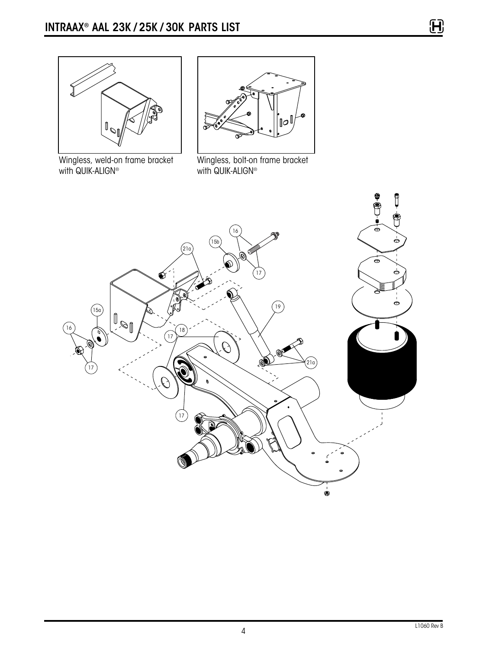



Wingless, weld-on frame bracket with QUIK-ALIGN®

Wingless, bolt-on frame bracket with QUIK-ALIGN<sup>®</sup>



 $\mathbf{H}$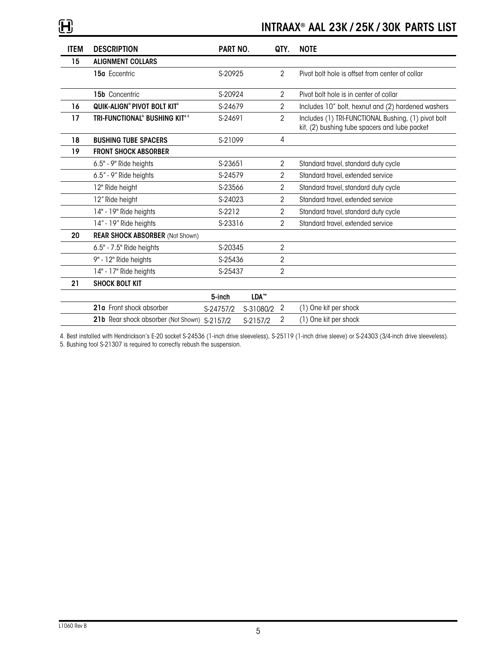## INTRAAX® AAL 23K / 25K / 30K PARTS LIST

| <b>ITEM</b> | <b>DESCRIPTION</b>                                     | PART NO.  |                  | QTY.           | <b>NOTE</b>                                                                                          |
|-------------|--------------------------------------------------------|-----------|------------------|----------------|------------------------------------------------------------------------------------------------------|
| 15          | <b>ALIGNMENT COLLARS</b>                               |           |                  |                |                                                                                                      |
|             | 15a Eccentric                                          | S-20925   |                  | $\overline{2}$ | Pivot bolt hole is offset from center of collar                                                      |
|             | 15b Concentric                                         | S-20924   |                  | 2              | Pivot bolt hole is in center of collar                                                               |
| 16          | QUIK-ALIGN® PIVOT BOLT KIT <sup>4</sup>                | S-24679   |                  | $\overline{2}$ | Includes 10" bolt, hexnut and (2) hardened washers                                                   |
| 17          | TRI-FUNCTIONAL <sup>®</sup> BUSHING KIT <sup>4,5</sup> | S-24691   |                  | $\overline{2}$ | Includes (1) TRI-FUNCTIONAL Bushing, (1) pivot bolt<br>kit, (2) bushing tube spacers and lube packet |
| 18          | <b>BUSHING TUBE SPACERS</b>                            | S-21099   |                  | 4              |                                                                                                      |
| 19          | <b>FRONT SHOCK ABSORBER</b>                            |           |                  |                |                                                                                                      |
|             | 6.5" - 9" Ride heights                                 | S-23651   |                  | $\overline{2}$ | Standard travel, standard duty cycle                                                                 |
|             | 6.5" - 9" Ride heights                                 | S-24579   |                  | 2              | Standard travel, extended service                                                                    |
|             | 12" Ride height                                        | S-23566   |                  | 2              | Standard travel, standard duty cycle                                                                 |
|             | 12" Ride height                                        | S-24023   |                  | 2              | Standard travel, extended service                                                                    |
|             | 14" - 19" Ride heights                                 | S-2212    |                  | 2              | Standard travel, standard duty cycle                                                                 |
|             | 14" - 19" Ride heights                                 | S-23316   |                  | $\overline{2}$ | Standard travel, extended service                                                                    |
| 20          | <b>REAR SHOCK ABSORBER (Not Shown)</b>                 |           |                  |                |                                                                                                      |
|             | 6.5" - 7.5" Ride heights                               | S-20345   |                  | $\overline{2}$ |                                                                                                      |
|             | 9" - 12" Ride heights                                  | S-25436   |                  | $\overline{2}$ |                                                                                                      |
|             | 14" - 17" Ride heights                                 | S-25437   |                  | 2              |                                                                                                      |
| 21          | <b>SHOCK BOLT KIT</b>                                  |           |                  |                |                                                                                                      |
|             |                                                        | 5-inch    | LDA <sup>™</sup> |                |                                                                                                      |
|             | 21a Front shock absorber                               | S-24757/2 | S-31080/2        | $\overline{2}$ | (1) One kit per shock                                                                                |
|             | 21b Rear shock absorber (Not Shown) S-2157/2           |           | S-2157/2         | 2              | (1) One kit per shock                                                                                |

4. Best installed with Hendrickson's E-20 socket S-24536 (1-inch drive sleeveless), S-25119 (1-inch drive sleeve) or S-24303 (3/4-inch drive sleeveless).

5. Bushing tool S-21307 is required to correctly rebush the suspension.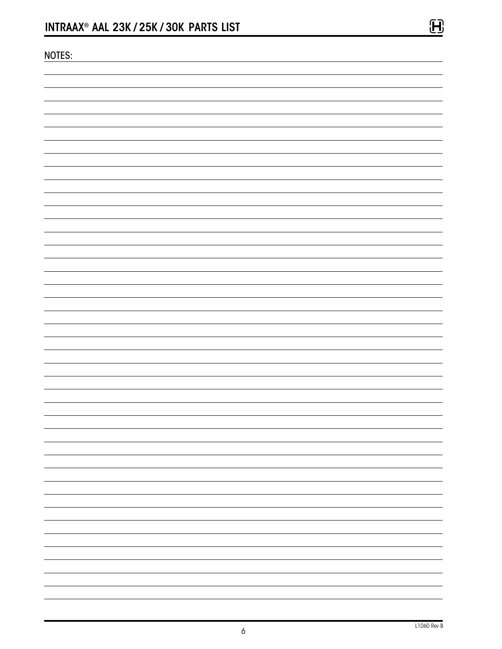| <b>NOTES:</b> |   |
|---------------|---|
|               |   |
|               |   |
|               |   |
|               |   |
|               |   |
|               |   |
|               |   |
|               |   |
|               |   |
|               |   |
|               |   |
|               |   |
|               |   |
|               |   |
|               |   |
|               |   |
|               |   |
|               |   |
|               |   |
|               |   |
|               |   |
|               |   |
|               |   |
|               |   |
|               |   |
|               |   |
|               |   |
|               |   |
|               |   |
|               |   |
|               | - |
|               |   |
|               |   |
|               |   |
|               |   |
|               |   |
|               |   |
|               |   |
|               |   |

 $\mathbf{H}$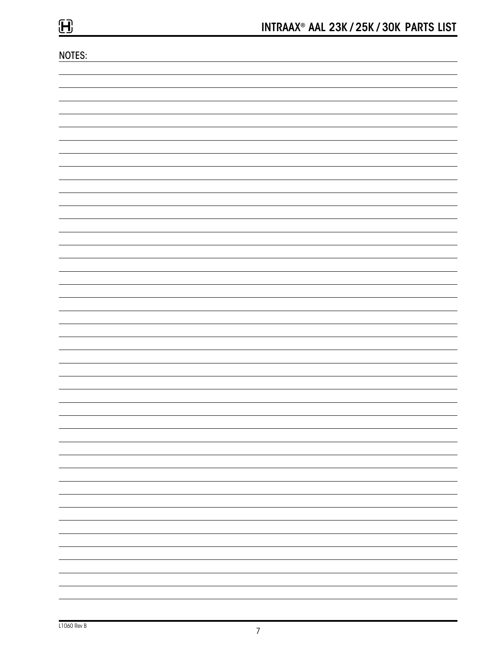NOTES:

| $\sim$ 100 $\sim$                                    |
|------------------------------------------------------|
|                                                      |
|                                                      |
|                                                      |
|                                                      |
| $\overline{\phantom{0}}$                             |
|                                                      |
|                                                      |
|                                                      |
|                                                      |
|                                                      |
|                                                      |
|                                                      |
| $\overline{\phantom{a}}$<br>$\overline{\phantom{0}}$ |
|                                                      |
|                                                      |
|                                                      |
| $\overline{\phantom{a}}$<br>$\overline{\phantom{0}}$ |
|                                                      |
|                                                      |
|                                                      |
|                                                      |
|                                                      |
|                                                      |
|                                                      |
|                                                      |
|                                                      |
| $\overline{\phantom{0}}$<br>$\overline{\phantom{0}}$ |